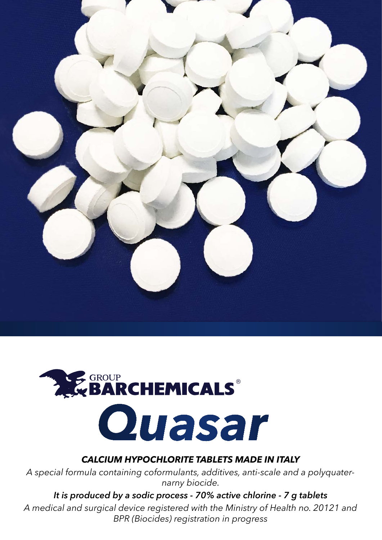



### *CALCIUM HYPOCHLORITE TABLETS MADE IN ITALY*

*A special formula containing coformulants, additives, anti-scale and a polyquaternarny biocide.*

*It is produced by a sodic process - 70% active chlorine - 7 g tablets A medical and surgical device registered with the Ministry of Health no. 20121 and BPR (Biocides) registration in progress*